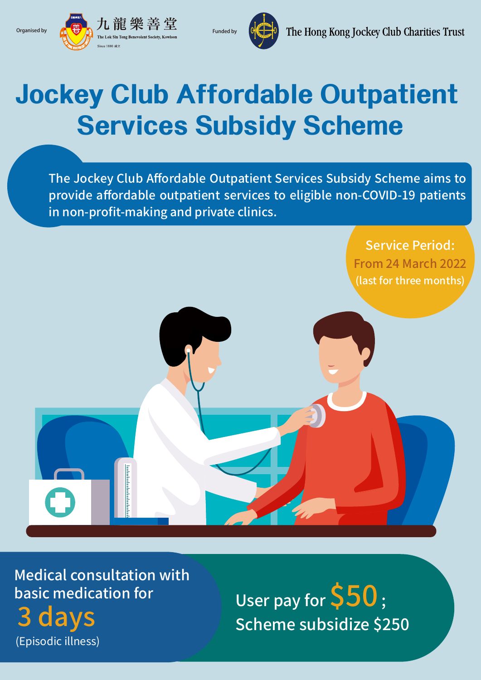



## **Jockey Club Affordable Outpatient Services Subsidy Scheme**

The Jockey Club Affordable Outpatient Services Subsidy Scheme aims to provide affordable outpatient services to eligible non-COVID-19 patients in non-profit-making and private clinics.

> Service Period: From 24 March 2022 (last for three months)

Medical consultation with basic medication for 3 days (Episodic illness)

<u>mbahahahahahahaha</u>

User pay for  $$50$  ; Scheme subsidize \$250